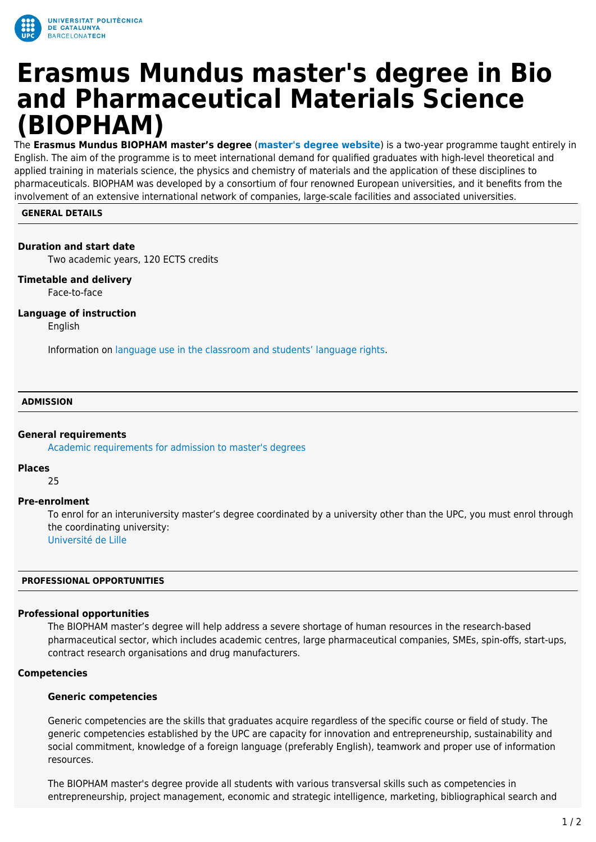

# **Erasmus Mundus master's degree in Bio and Pharmaceutical Materials Science (BIOPHAM)**

The **Erasmus Mundus BIOPHAM master's degree** (**[master's degree website](https://www.master-biopham.eu/)**) is a two-year programme taught entirely in English. The aim of the programme is to meet international demand for qualified graduates with high-level theoretical and applied training in materials science, the physics and chemistry of materials and the application of these disciplines to pharmaceuticals. BIOPHAM was developed by a consortium of four renowned European universities, and it benefits from the involvement of an extensive international network of companies, large-scale facilities and associated universities.

# **GENERAL DETAILS**

# **Duration and start date**

Two academic years, 120 ECTS credits

# **Timetable and delivery**

Face-to-face

# **Language of instruction**

English

Information on [language use in the classroom and students' language rights](https://www.upc.edu/slt/en/upc-language-policy/language-uses-rights/language-uses-rights-upc?set_language=en).

#### **ADMISSION**

#### **General requirements**

[Academic requirements for admission to master's degrees](https://upc.edu/en/masters/access-and-admission/academic-requirements)

#### **Places**

25

#### **Pre-enrolment**

To enrol for an interuniversity master's degree coordinated by a university other than the UPC, you must enrol through the coordinating university: [Université de Lille](https://www.master-biopham.eu/how-to-apply/application-procedure)

#### **PROFESSIONAL OPPORTUNITIES**

#### **Professional opportunities**

The BIOPHAM master's degree will help address a severe shortage of human resources in the research-based pharmaceutical sector, which includes academic centres, large pharmaceutical companies, SMEs, spin-offs, start-ups, contract research organisations and drug manufacturers.

#### **Competencies**

#### **Generic competencies**

Generic competencies are the skills that graduates acquire regardless of the specific course or field of study. The generic competencies established by the UPC are capacity for innovation and entrepreneurship, sustainability and social commitment, knowledge of a foreign language (preferably English), teamwork and proper use of information resources.

The BIOPHAM master's degree provide all students with various transversal skills such as competencies in entrepreneurship, project management, economic and strategic intelligence, marketing, bibliographical search and